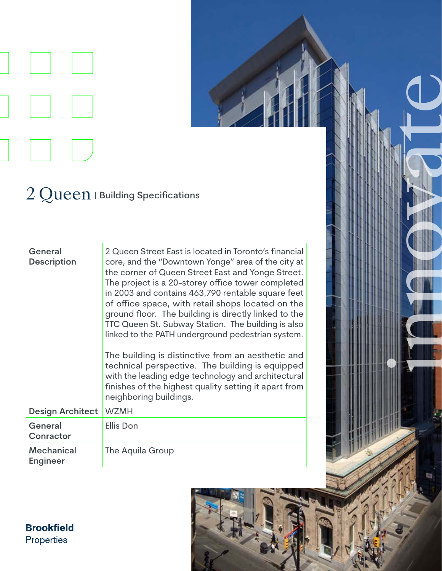

## $2$  Queen I Building Specifications

| General<br><b>Description</b> | 2 Queen Street East is located in Toronto's financial<br>core, and the "Downtown Yonge" area of the city at<br>the corner of Queen Street East and Yonge Street.<br>The project is a 20-storey office tower completed<br>in 2003 and contains 463,790 rentable square feet<br>of office space, with retail shops located on the<br>ground floor. The building is directly linked to the<br>TTC Queen St. Subway Station. The building is also<br>linked to the PATH underground pedestrian system.<br>The building is distinctive from an aesthetic and<br>technical perspective. The building is equipped<br>with the leading edge technology and architectural<br>finishes of the highest quality setting it apart from<br>neighboring buildings. |
|-------------------------------|-----------------------------------------------------------------------------------------------------------------------------------------------------------------------------------------------------------------------------------------------------------------------------------------------------------------------------------------------------------------------------------------------------------------------------------------------------------------------------------------------------------------------------------------------------------------------------------------------------------------------------------------------------------------------------------------------------------------------------------------------------|
| <b>Design Architect</b>       | <b>WZMH</b>                                                                                                                                                                                                                                                                                                                                                                                                                                                                                                                                                                                                                                                                                                                                         |
| General<br><b>Conractor</b>   | <b>Ellis Don</b>                                                                                                                                                                                                                                                                                                                                                                                                                                                                                                                                                                                                                                                                                                                                    |
| <b>Mechanical</b><br>Engineer | The Aquila Group                                                                                                                                                                                                                                                                                                                                                                                                                                                                                                                                                                                                                                                                                                                                    |



innovate

**Brookfield** Properties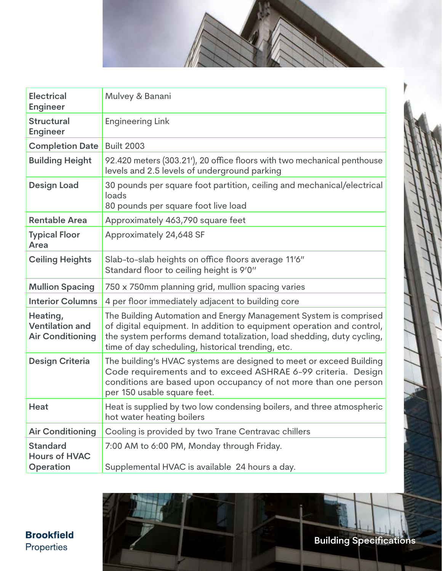

| <b>Electrical</b><br><b>Engineer</b>                          | Mulvey & Banani                                                                                                                                                                                                                                                          |
|---------------------------------------------------------------|--------------------------------------------------------------------------------------------------------------------------------------------------------------------------------------------------------------------------------------------------------------------------|
| <b>Structural</b><br><b>Engineer</b>                          | <b>Engineering Link</b>                                                                                                                                                                                                                                                  |
| <b>Completion Date</b>                                        | <b>Built 2003</b>                                                                                                                                                                                                                                                        |
| <b>Building Height</b>                                        | 92.420 meters (303.21'), 20 office floors with two mechanical penthouse<br>levels and 2.5 levels of underground parking                                                                                                                                                  |
| <b>Design Load</b>                                            | 30 pounds per square foot partition, ceiling and mechanical/electrical<br>loads<br>80 pounds per square foot live load                                                                                                                                                   |
| <b>Rentable Area</b>                                          | Approximately 463,790 square feet                                                                                                                                                                                                                                        |
| <b>Typical Floor</b><br>Area                                  | Approximately 24,648 SF                                                                                                                                                                                                                                                  |
| <b>Ceiling Heights</b>                                        | Slab-to-slab heights on office floors average 11'6"<br>Standard floor to ceiling height is 9'0"                                                                                                                                                                          |
| <b>Mullion Spacing</b>                                        | 750 x 750mm planning grid, mullion spacing varies                                                                                                                                                                                                                        |
| <b>Interior Columns</b>                                       | 4 per floor immediately adjacent to building core                                                                                                                                                                                                                        |
| Heating,<br><b>Ventilation and</b><br><b>Air Conditioning</b> | The Building Automation and Energy Management System is comprised<br>of digital equipment. In addition to equipment operation and control,<br>the system performs demand totalization, load shedding, duty cycling,<br>time of day scheduling, historical trending, etc. |
| <b>Design Criteria</b>                                        | The building's HVAC systems are designed to meet or exceed Building<br>Code requirements and to exceed ASHRAE 6-99 criteria. Design<br>conditions are based upon occupancy of not more than one person<br>per 150 usable square feet.                                    |
| Heat                                                          | Heat is supplied by two low condensing boilers, and three atmospheric<br>hot water heating boilers                                                                                                                                                                       |
| <b>Air Conditioning</b>                                       | Cooling is provided by two Trane Centravac chillers                                                                                                                                                                                                                      |
| <b>Standard</b><br><b>Hours of HVAC</b><br>Operation          | 7:00 AM to 6:00 PM, Monday through Friday.<br>Supplemental HVAC is available 24 hours a day.                                                                                                                                                                             |

**Brookfield** Properties

**Building Specifications**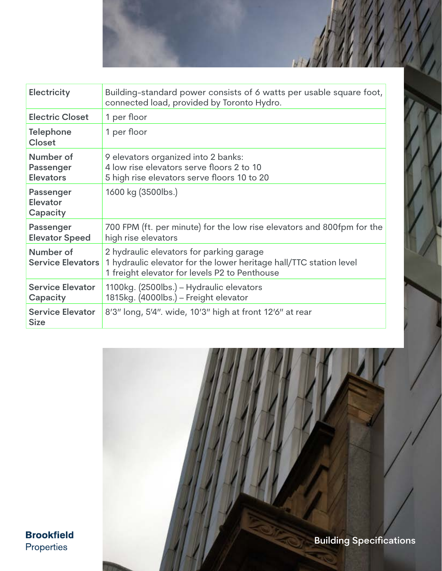

| <b>Electricity</b>                                | Building-standard power consists of 6 watts per usable square foot,<br>connected load, provided by Toronto Hydro.                                               |
|---------------------------------------------------|-----------------------------------------------------------------------------------------------------------------------------------------------------------------|
| <b>Electric Closet</b>                            | 1 per floor                                                                                                                                                     |
| <b>Telephone</b><br><b>Closet</b>                 | 1 per floor                                                                                                                                                     |
| Number of<br><b>Passenger</b><br><b>Elevators</b> | 9 elevators organized into 2 banks:<br>4 low rise elevators serve floors 2 to 10<br>5 high rise elevators serve floors 10 to 20                                 |
| Passenger<br><b>Elevator</b><br>Capacity          | 1600 kg (3500lbs.)                                                                                                                                              |
| Passenger<br><b>Elevator Speed</b>                | 700 FPM (ft. per minute) for the low rise elevators and 800 fpm for the<br>high rise elevators                                                                  |
| Number of<br><b>Service Elevators</b>             | 2 hydraulic elevators for parking garage<br>1 hydraulic elevator for the lower heritage hall/TTC station level<br>1 freight elevator for levels P2 to Penthouse |
| <b>Service Elevator</b><br>Capacity               | 1100kg. (2500lbs.) – Hydraulic elevators<br>1815kg. (4000lbs.) – Freight elevator                                                                               |
| <b>Service Elevator</b><br><b>Size</b>            | 8'3" long, 5'4". wide, 10'3" high at front 12'6" at rear                                                                                                        |



**Brookfield** Properties